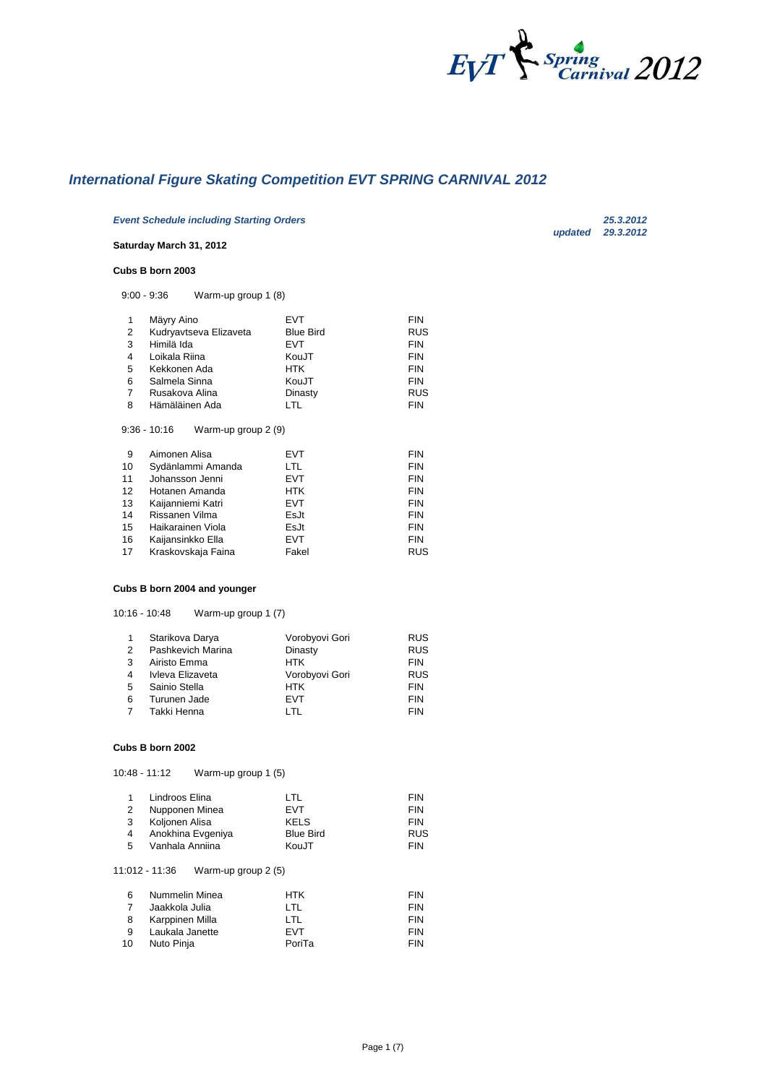

*updated 29.3.2012*

# *International Figure Skating Competition EVT SPRING CARNIVAL 2012*

*Event Schedule including Starting Orders 25.3.2012*

## **Saturday March 31, 2012**

#### **Cubs B born 2003**

9:00 - 9:36 Warm-up group 1 (8)

| 1  | Mäyry Aino                                             | EVT              | <b>FIN</b> |
|----|--------------------------------------------------------|------------------|------------|
| 2  | Kudryavtseva Elizaveta                                 | <b>Blue Bird</b> | RUS        |
| 3  | Himilä Ida                                             | <b>EVT</b>       | <b>FIN</b> |
| 4  | Loikala Riina                                          | KouJT            | <b>FIN</b> |
| 5  | Kekkonen Ada                                           | <b>HTK</b>       | <b>FIN</b> |
| 6  | Salmela Sinna                                          | KouJT            | <b>FIN</b> |
| 7  | Rusakova Alina                                         | Dinasty          | RUS        |
| 8  | Hämäläinen Ada                                         | LTL              | <b>FIN</b> |
| 9  | $9:36 - 10:16$<br>Warm-up group 2 (9)<br>Aimonen Alisa | <b>EVT</b>       | <b>FIN</b> |
| 10 | Sydänlammi Amanda                                      | LTL              | <b>FIN</b> |
| 11 | Johansson Jenni                                        | <b>EVT</b>       | <b>FIN</b> |
| 12 | Hotanen Amanda                                         | <b>HTK</b>       | <b>FIN</b> |
| 13 | Kaijanniemi Katri                                      | <b>EVT</b>       | <b>FIN</b> |
| 14 | Rissanen Vilma                                         | EsJt             | <b>FIN</b> |
| 15 | Haikarainen Viola                                      | EsJt             | <b>FIN</b> |
| 16 | Kaijansinkko Ella                                      | EVT              | <b>FIN</b> |
| 17 | Kraskovskaja Faina                                     | Fakel            | RUS        |

#### **Cubs B born 2004 and younger**

10:16 - 10:48 Warm-up group 1 (7)

|                | Starikova Darya   | Vorobyovi Gori | <b>RUS</b> |
|----------------|-------------------|----------------|------------|
| 2              | Pashkevich Marina | Dinasty        | <b>RUS</b> |
| 3              | Airisto Emma      | <b>HTK</b>     | <b>FIN</b> |
| 4              | Ivleva Elizaveta  | Vorobyovi Gori | <b>RUS</b> |
| 5              | Sainio Stella     | <b>HTK</b>     | <b>FIN</b> |
| 6              | Turunen Jade      | <b>FVT</b>     | <b>FIN</b> |
| $\overline{7}$ | Takki Henna       | I TI           | <b>FIN</b> |

#### **Cubs B born 2002**

10:48 - 11:12 Warm-up group 1 (5)

|   | Lindroos Elina    | I TI             | <b>FIN</b> |
|---|-------------------|------------------|------------|
| 2 | Nupponen Minea    | <b>FVT</b>       | <b>FIN</b> |
| 3 | Koljonen Alisa    | <b>KELS</b>      | <b>FIN</b> |
|   | Anokhina Evgeniya | <b>Blue Bird</b> | RUS        |
| 5 | Vanhala Anniina   | KouJT            | <b>FIN</b> |

#### 11:012 - 11:36 Warm-up group 2 (5)

| -6 | Nummelin Minea  | <b>HTK</b> | <b>FIN</b> |
|----|-----------------|------------|------------|
| -7 | Jaakkola Julia  | I TI       | <b>FIN</b> |
| -8 | Karppinen Milla | I TI       | <b>FIN</b> |
| -9 | Laukala Janette | <b>FVT</b> | <b>FIN</b> |
| 10 | Nuto Pinia      | PoriTa     | <b>FIN</b> |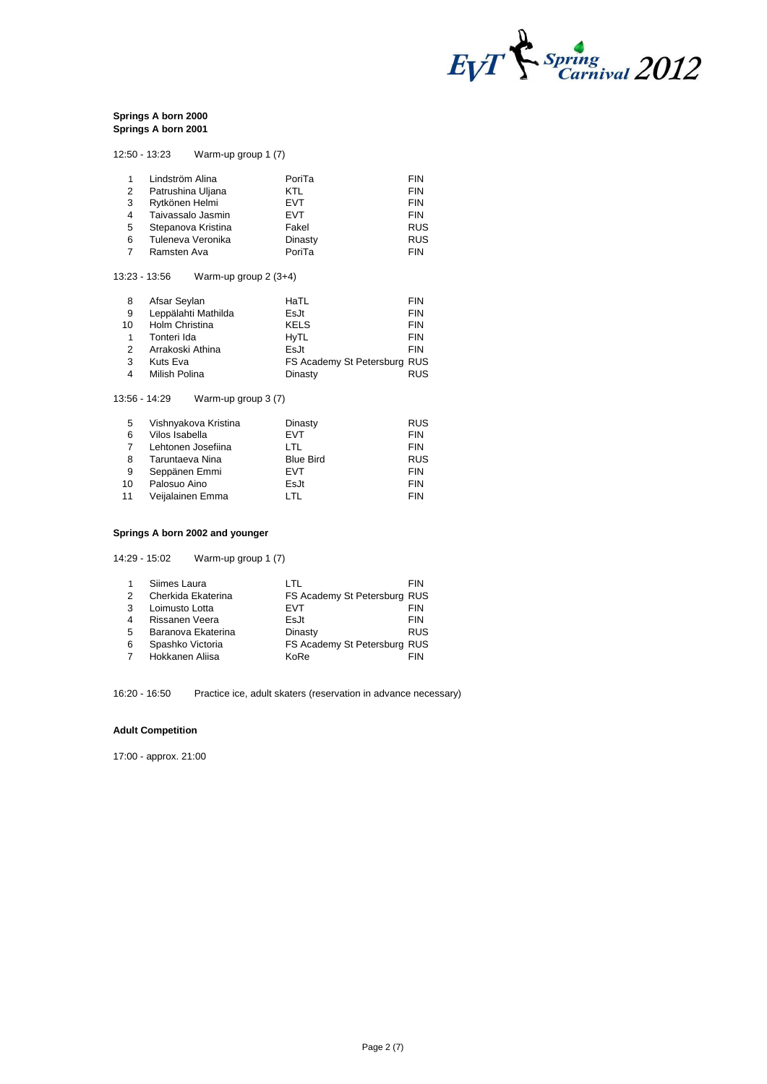

#### **Springs A born 2000 Springs A born 2001**

|   | 12:50 - 13:23<br>Warm-up group 1 (7) |            |            |
|---|--------------------------------------|------------|------------|
| 1 | Lindström Alina                      | PoriTa     | <b>FIN</b> |
| 2 | Patrushina Uljana                    | KTL        | <b>FIN</b> |
| 3 | Rytkönen Helmi                       | <b>EVT</b> | <b>FIN</b> |
| 4 | Taivassalo Jasmin                    | EVT        | <b>FIN</b> |
| 5 | Stepanova Kristina                   | Fakel      | <b>RUS</b> |
| 6 | Tuleneva Veronika                    | Dinasty    | <b>RUS</b> |
|   | Ramsten Ava                          | PoriTa     | <b>FIN</b> |

# 13:23 - 13:56 Warm-up group 2 (3+4)

| 8  | Afsar Seylan        | HaTL                         | <b>FIN</b> |
|----|---------------------|------------------------------|------------|
| 9  | Leppälahti Mathilda | EsJt                         | <b>FIN</b> |
| 10 | Holm Christina      | <b>KELS</b>                  | <b>FIN</b> |
| 1  | Tonteri Ida         | <b>HyTL</b>                  | <b>FIN</b> |
| 2  | Arrakoski Athina    | EsJt                         | <b>FIN</b> |
| 3  | Kuts Eva            | FS Academy St Petersburg RUS |            |
| 4  | Milish Polina       | Dinasty                      | <b>RUS</b> |

#### 13:56 - 14:29 Warm-up group 3 (7)

| 5  | Vishnyakova Kristina | Dinasty          | <b>RUS</b> |
|----|----------------------|------------------|------------|
| 6  | Vilos Isabella       | <b>EVT</b>       | <b>FIN</b> |
|    | Lehtonen Josefiina   | I TI             | <b>FIN</b> |
| 8  | Taruntaeva Nina      | <b>Blue Bird</b> | <b>RUS</b> |
| -9 | Seppänen Emmi        | <b>EVT</b>       | <b>FIN</b> |
| 10 | Palosuo Aino         | EsJt             | <b>FIN</b> |
| 11 | Veijalainen Emma     | I TI             | <b>FIN</b> |

# **Springs A born 2002 and younger**

14:29 - 15:02 Warm-up group 1 (7)

|               | Siimes Laura       | I TI                         | FIN        |
|---------------|--------------------|------------------------------|------------|
| $\mathcal{P}$ | Cherkida Ekaterina | FS Academy St Petersburg RUS |            |
| 3             | Loimusto Lotta     | <b>FVT</b>                   | <b>FIN</b> |
| 4             | Rissanen Veera     | EsJt                         | <b>FIN</b> |
| 5             | Baranova Ekaterina | Dinasty                      | <b>RUS</b> |
| 6             | Spashko Victoria   | FS Academy St Petersburg RUS |            |
|               | Hokkanen Aliisa    | KoRe                         | FIN        |

16:20 - 16:50 Practice ice, adult skaters (reservation in advance necessary)

#### **Adult Competition**

17:00 - approx. 21:00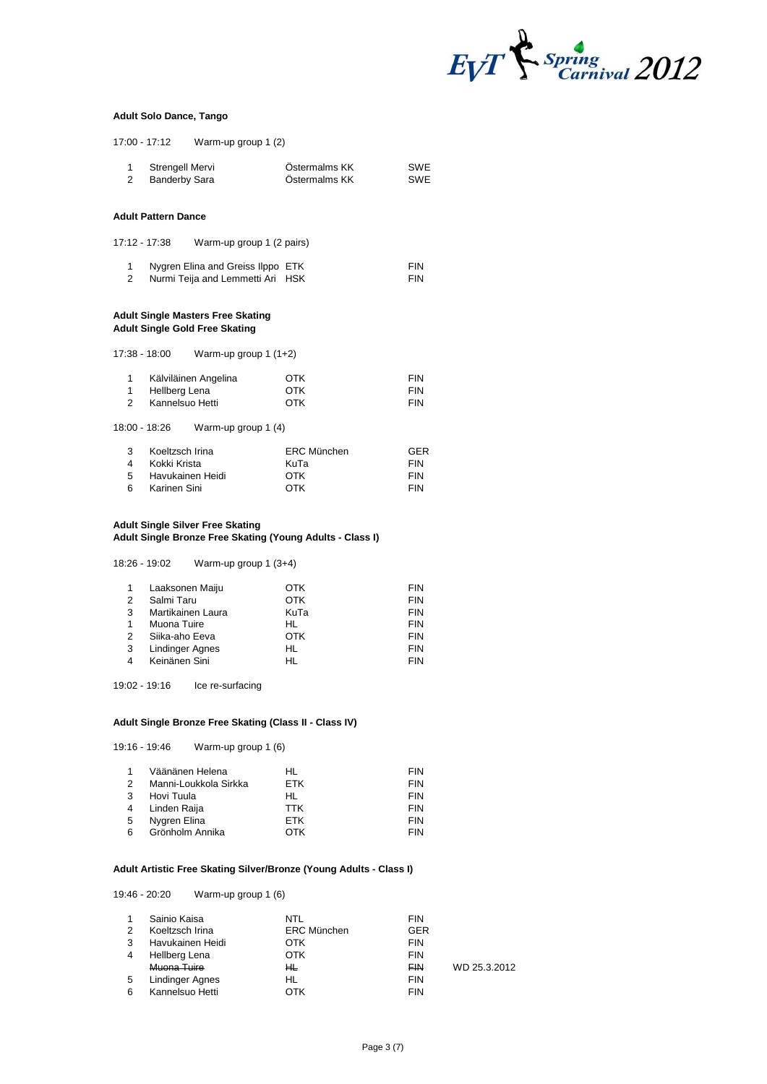

#### **Adult Solo Dance, Tango**

17:00 - 17:12 Warm-up group 1 (2)

|                               |                                                                     | $17.00 - 17.12$ wann-up group $(2)$                                               |                                                           |                                                      |
|-------------------------------|---------------------------------------------------------------------|-----------------------------------------------------------------------------------|-----------------------------------------------------------|------------------------------------------------------|
| 1<br>2                        | Strengell Mervi<br><b>Banderby Sara</b>                             |                                                                                   | Östermalms KK<br>Östermalms KK                            | <b>SWE</b><br><b>SWE</b>                             |
|                               | <b>Adult Pattern Dance</b>                                          |                                                                                   |                                                           |                                                      |
| 17:12 - 17:38                 |                                                                     | Warm-up group 1 (2 pairs)                                                         |                                                           |                                                      |
| 1<br>$\overline{2}$           |                                                                     | Nygren Elina and Greiss Ilppo ETK<br>Nurmi Teija and Lemmetti Ari HSK             |                                                           | <b>FIN</b><br><b>FIN</b>                             |
|                               |                                                                     | <b>Adult Single Masters Free Skating</b><br><b>Adult Single Gold Free Skating</b> |                                                           |                                                      |
| 17:38 - 18:00                 |                                                                     | Warm-up group 1 (1+2)                                                             |                                                           |                                                      |
| 1<br>1<br>$\overline{2}$      | Hellberg Lena<br>Kannelsuo Hetti                                    | Kälviläinen Angelina                                                              | <b>OTK</b><br><b>OTK</b><br><b>OTK</b>                    | <b>FIN</b><br><b>FIN</b><br><b>FIN</b>               |
| 18:00 - 18:26                 |                                                                     | Warm-up group 1 (4)                                                               |                                                           |                                                      |
| 3<br>$\overline{4}$<br>5<br>6 | Koeltzsch Irina<br>Kokki Krista<br>Havukainen Heidi<br>Karinen Sini |                                                                                   | <b>ERC München</b><br>KuTa<br><b>OTK</b><br><b>OTK</b>    | <b>GER</b><br><b>FIN</b><br><b>FIN</b><br><b>FIN</b> |
|                               |                                                                     | <b>Adult Single Silver Free Skating</b>                                           | Adult Single Bronze Free Skating (Young Adults - Class I) |                                                      |
| 18:26 - 19:02                 |                                                                     | Warm-up group 1 (3+4)                                                             |                                                           |                                                      |
|                               | A Lookannan Maiiu                                                   |                                                                                   | $\cap$ TI                                                 | <b>CINI</b>                                          |

| $\mathbf{1}$  | Laaksonen Maiju        | ОТК  | <b>FIN</b> |
|---------------|------------------------|------|------------|
| 2             | Salmi Taru             | OTK  | <b>FIN</b> |
| $\mathcal{B}$ | Martikainen Laura      | KuTa | <b>FIN</b> |
| 1             | Muona Tuire            | HL   | <b>FIN</b> |
| $\mathcal{P}$ | Siika-aho Eeva         | OTK  | <b>FIN</b> |
| 3             | <b>Lindinger Agnes</b> | HL   | <b>FIN</b> |
| 4             | Keinänen Sini          | HL   | <b>FIN</b> |

19:02 - 19:16 Ice re-surfacing

#### **Adult Single Bronze Free Skating (Class II - Class IV)**

|   | 19:16 - 19:46<br>Warm-up group 1 (6) |            |            |
|---|--------------------------------------|------------|------------|
|   | Väänänen Helena                      | HL.        | <b>FIN</b> |
| 2 | Manni-Loukkola Sirkka                | ETK        | <b>FIN</b> |
|   | Hovi Tuula                           | HL.        | <b>FIN</b> |
| 4 | Linden Raija                         | <b>TTK</b> | <b>FIN</b> |
| 5 | Nygren Elina                         | ETK        | <b>FIN</b> |
| 6 | Grönholm Annika                      | ОТК        | FIN        |

# **Adult Artistic Free Skating Silver/Bronze (Young Adults - Class I)**

# 19:46 - 20:20 Warm-up group 1 (6)

| $\mathbf{1}$   | Sainio Kaisa           | NTL                | <b>FIN</b> |              |
|----------------|------------------------|--------------------|------------|--------------|
| $\mathcal{P}$  | Koeltzsch Irina        | <b>ERC München</b> | <b>GER</b> |              |
| 3              | Havukainen Heidi       | OTK                | <b>FIN</b> |              |
| $\overline{4}$ | Hellberg Lena          | OTK                | <b>FIN</b> |              |
|                | Muona Tuire            | ĦĿ                 | <b>FIN</b> | WD 25.3.2012 |
| 5              | <b>Lindinger Agnes</b> | HL                 | <b>FIN</b> |              |
| 6              | Kannelsuo Hetti        | OTK                | <b>FIN</b> |              |
|                |                        |                    |            |              |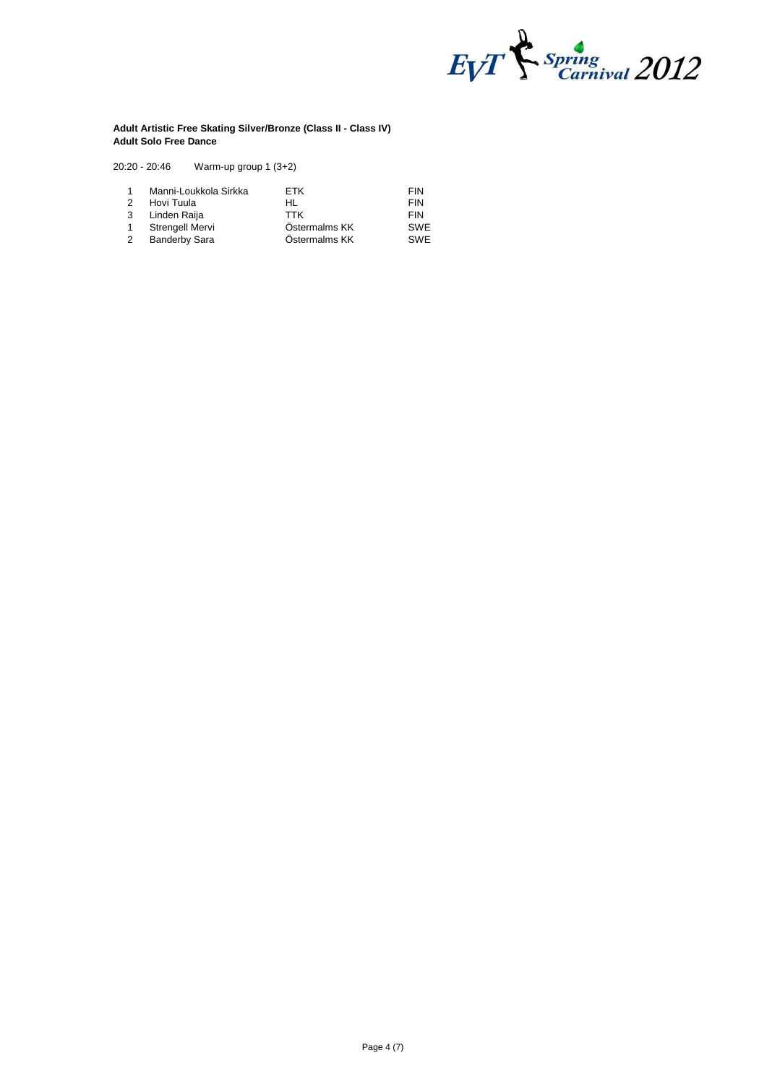

#### **Adult Artistic Free Skating Silver/Bronze (Class II - Class IV) Adult Solo Free Dance**

20:20 - 20:46 Warm-up group 1 (3+2)

| $\mathbf{1}$  | Manni-Loukkola Sirkka | <b>FTK</b>    | <b>FIN</b> |
|---------------|-----------------------|---------------|------------|
| $\mathcal{P}$ | Hovi Tuula            | HL            | <b>FIN</b> |
| 3             | Linden Raija          | TTK           | <b>FIN</b> |
| 1             | Strengell Mervi       | Östermalms KK | <b>SWE</b> |
| 2             | <b>Banderby Sara</b>  | Östermalms KK | <b>SWF</b> |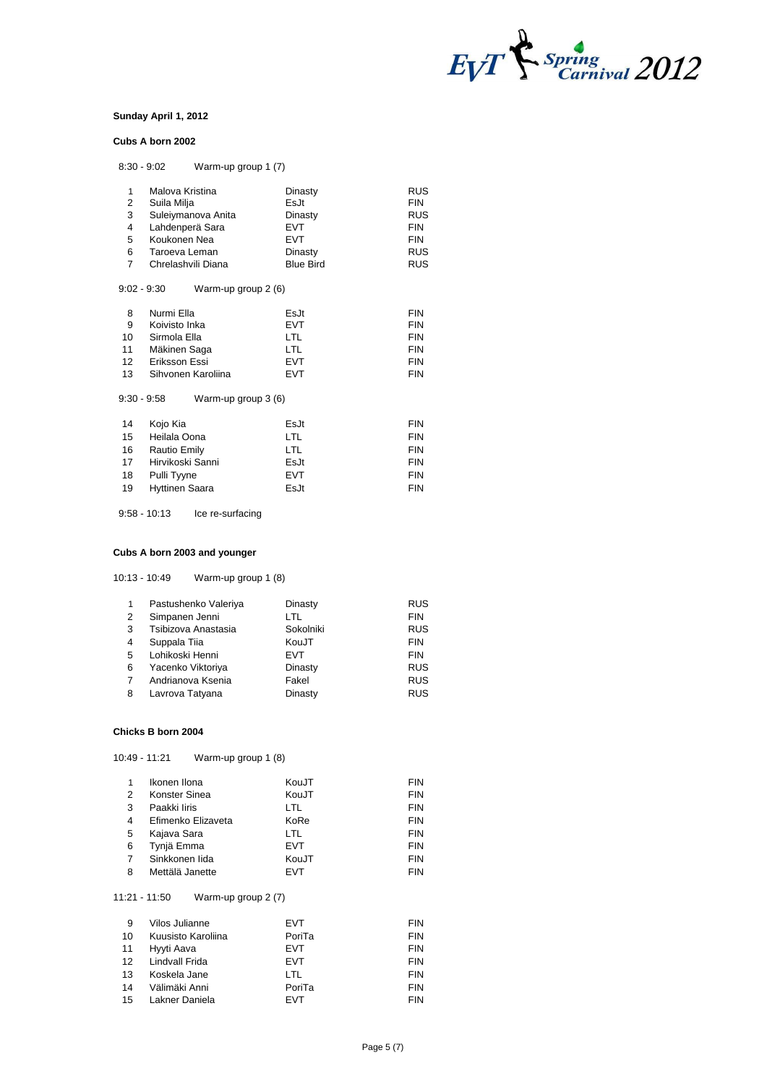

#### **Sunday April 1, 2012**

#### **Cubs A born 2002**

| $8:30 - 9:02$ | Warm-up group 1 (7)   |                  |            |
|---------------|-----------------------|------------------|------------|
| 1             | Malova Kristina       | Dinasty          | RUS        |
| 2             | Suila Milja           | Fs.It            | <b>FIN</b> |
| 3             | Suleiymanova Anita    | Dinasty          | RUS        |
| 4             | Lahdenperä Sara       | <b>EVT</b>       | <b>FIN</b> |
| 5             | Koukonen Nea          | <b>EVT</b>       | <b>FIN</b> |
| 6             | Taroeva Leman         | Dinasty          | RUS        |
| 7             | Chrelashvili Diana    | <b>Blue Bird</b> | <b>RUS</b> |
| $9:02 - 9:30$ | Warm-up group 2 (6)   |                  |            |
| 8             | Nurmi Ella            | EsJt             | <b>FIN</b> |
| 9             | Koivisto Inka         | <b>EVT</b>       | <b>FIN</b> |
| 10            | Sirmola Ella          | LTL              | <b>FIN</b> |
| 11            | Mäkinen Saga          | LTL              | <b>FIN</b> |
| 12            | Eriksson Essi         | <b>EVT</b>       | <b>FIN</b> |
| 13            | Sihvonen Karoliina    | <b>EVT</b>       | <b>FIN</b> |
| $9:30 - 9:58$ | Warm-up group 3 (6)   |                  |            |
| 14            | Kojo Kia              | EsJt             | <b>FIN</b> |
| 15            | Heilala Oona          | LTL              | <b>FIN</b> |
| 16            | <b>Rautio Emily</b>   | <b>LTL</b>       | <b>FIN</b> |
| 17            | Hirvikoski Sanni      | EsJt             | <b>FIN</b> |
| 18            | Pulli Tyyne           | <b>EVT</b>       | <b>FIN</b> |
| 19            | <b>Hyttinen Saara</b> | EsJt             | <b>FIN</b> |

9:58 - 10:13 Ice re-surfacing

#### **Cubs A born 2003 and younger**

10:13 - 10:49 Warm-up group 1 (8)

| $\mathbf{1}$ | Pastushenko Valeriya | Dinasty    | <b>RUS</b> |
|--------------|----------------------|------------|------------|
| 2            | Simpanen Jenni       | LTL        | <b>FIN</b> |
| 3            | Tsibizova Anastasia  | Sokolniki  | <b>RUS</b> |
| 4            | Suppala Tiia         | KouJT      | <b>FIN</b> |
| -5           | Lohikoski Henni      | <b>EVT</b> | <b>FIN</b> |
| 6            | Yacenko Viktoriya    | Dinasty    | <b>RUS</b> |
| 7            | Andrianova Ksenia    | Fakel      | <b>RUS</b> |
| 8            | Lavrova Tatyana      | Dinasty    | <b>RUS</b> |

#### **Chicks B born 2004**

10:49 - 11:21 Warm-up group 1 (8)

|               | Ikonen Ilona       | KouJT      | <b>FIN</b> |
|---------------|--------------------|------------|------------|
| $\mathcal{P}$ | Konster Sinea      | KouJT      | <b>FIN</b> |
| 3             | Paakki liris       | LTL        | <b>FIN</b> |
| 4             | Efimenko Elizaveta | KoRe       | <b>FIN</b> |
| 5             | Kajava Sara        | LTL        | <b>FIN</b> |
| 6             | Tynjä Emma         | <b>EVT</b> | <b>FIN</b> |
| 7             | Sinkkonen lida     | KouJT      | <b>FIN</b> |
| 8             | Mettälä Janette    | <b>EVT</b> | <b>FIN</b> |
|               |                    |            |            |

# 11:21 - 11:50 Warm-up group 2 (7)

| - 9 | Vilos Julianne     | <b>EVT</b> | <b>FIN</b> |
|-----|--------------------|------------|------------|
| 10  | Kuusisto Karoliina | PoriTa     | <b>FIN</b> |
| 11  | Hyyti Aava         | <b>EVT</b> | <b>FIN</b> |
|     | 12 Lindvall Frida  | <b>EVT</b> | <b>FIN</b> |
| 13  | Koskela Jane       | LTL.       | <b>FIN</b> |
| 14  | Välimäki Anni      | PoriTa     | <b>FIN</b> |
| 15  | Lakner Daniela     | EVT        | <b>FIN</b> |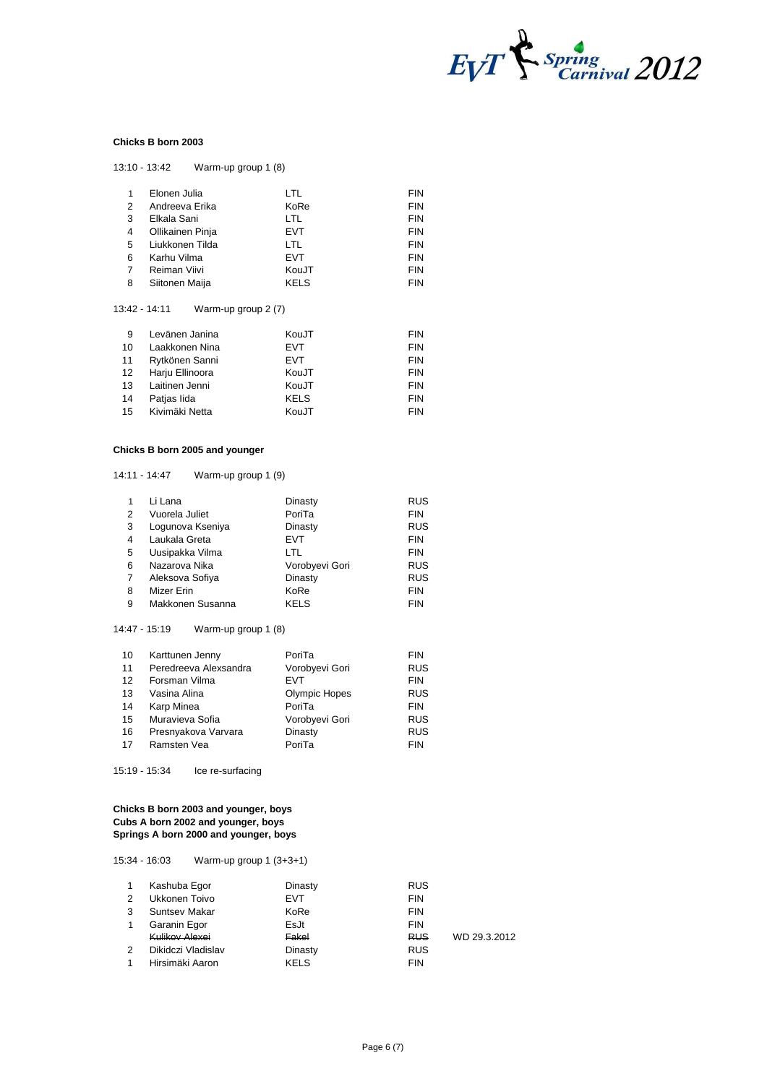

## **Chicks B born 2003**

| 1 | Elonen Julia     | LTL         | <b>FIN</b> |
|---|------------------|-------------|------------|
| 2 | Andreeva Erika   | KoRe        | <b>FIN</b> |
| 3 | Elkala Sani      | <b>LTL</b>  | <b>FIN</b> |
| 4 | Ollikainen Pinja | <b>EVT</b>  | <b>FIN</b> |
| 5 | Liukkonen Tilda  | LTL         | <b>FIN</b> |
| 6 | Karhu Vilma      | <b>EVT</b>  | <b>FIN</b> |
| 7 | Reiman Viivi     | KouJT       | <b>FIN</b> |
| 8 | Siitonen Maija   | <b>KELS</b> | <b>FIN</b> |
|   |                  |             |            |

# 13:42 - 14:11 Warm-up group 2 (7)

13:10 - 13:42 Warm-up group 1 (8)

| 9  | Levänen Janina  | KouJT       | <b>FIN</b> |
|----|-----------------|-------------|------------|
| 10 | Laakkonen Nina  | <b>EVT</b>  | <b>FIN</b> |
| 11 | Rytkönen Sanni  | <b>EVT</b>  | <b>FIN</b> |
| 12 | Harju Ellinoora | KouJT       | <b>FIN</b> |
| 13 | Laitinen Jenni  | KouJT       | <b>FIN</b> |
| 14 | Patjas lida     | <b>KELS</b> | <b>FIN</b> |
| 15 | Kivimäki Netta  | KouJT       | <b>FIN</b> |

# **Chicks B born 2005 and younger**

14:11 - 14:47 Warm-up group 1 (9)

|   | Li Lana          | Dinasty        | <b>RUS</b> |
|---|------------------|----------------|------------|
| 2 | Vuorela Juliet   | PoriTa         | <b>FIN</b> |
| 3 | Logunova Kseniya | Dinasty        | <b>RUS</b> |
| 4 | Laukala Greta    | <b>EVT</b>     | <b>FIN</b> |
| 5 | Uusipakka Vilma  | LTL            | <b>FIN</b> |
| 6 | Nazarova Nika    | Vorobyevi Gori | <b>RUS</b> |
| 7 | Aleksova Sofiya  | Dinasty        | <b>RUS</b> |
| 8 | Mizer Erin       | KoRe           | <b>FIN</b> |
| 9 | Makkonen Susanna | <b>KELS</b>    | <b>FIN</b> |

#### 14:47 - 15:19 Warm-up group 1 (8)

| 10                | Karttunen Jenny       | PoriTa               | <b>FIN</b> |
|-------------------|-----------------------|----------------------|------------|
| 11                | Peredreeva Alexsandra | Vorobyevi Gori       | <b>RUS</b> |
| $12 \overline{ }$ | Forsman Vilma         | <b>FVT</b>           | <b>FIN</b> |
| 13                | Vasina Alina          | <b>Olympic Hopes</b> | <b>RUS</b> |
| 14                | Karp Minea            | PoriTa               | <b>FIN</b> |
| 15                | Muravieva Sofia       | Vorobyevi Gori       | <b>RUS</b> |
| 16                | Presnyakova Varvara   | Dinasty              | <b>RUS</b> |
| 17                | Ramsten Vea           | PoriTa               | <b>FIN</b> |

15:19 - 15:34 Ice re-surfacing

#### **Chicks B born 2003 and younger, boys Cubs A born 2002 and younger, boys Springs A born 2000 and younger, boys**

15:34 - 16:03 Warm-up group 1 (3+3+1)

|               | Kashuba Egor       | Dinasty     | <b>RUS</b> |              |
|---------------|--------------------|-------------|------------|--------------|
| 2             | Ukkonen Toivo      | <b>EVT</b>  | <b>FIN</b> |              |
| 3             | Suntsey Makar      | KoRe        | <b>FIN</b> |              |
|               | Garanin Egor       | EsJt        | <b>FIN</b> |              |
|               | Kulikov Alexei     | Fakel       | <b>RUS</b> | WD 29.3.2012 |
| $\mathcal{P}$ | Dikidczi Vladislav | Dinasty     | <b>RUS</b> |              |
|               | Hirsimäki Aaron    | <b>KELS</b> | <b>FIN</b> |              |